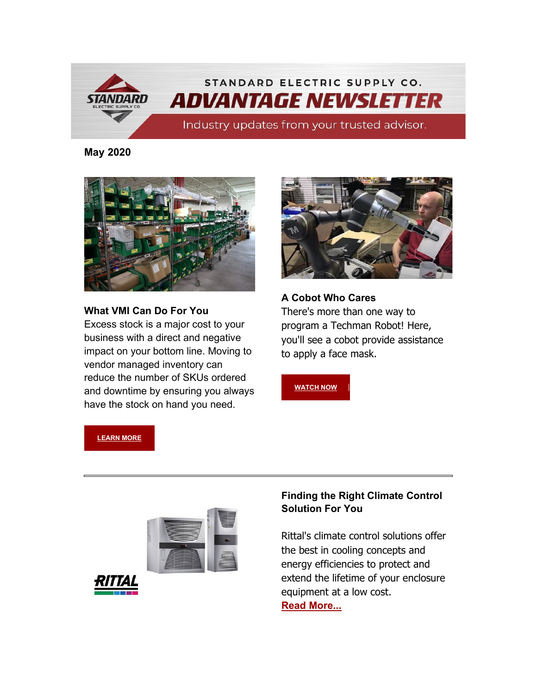

### **May 2020**



### **What VMI Can Do For You**

Excess stock is a major cost to your business with a direct and negative impact on your bottom line. Moving to vendor managed inventory can reduce the number of SKUs ordered and downtime by ensuring you always have the stock on hand you need.



**A Cobot Who Cares** There's more than one way to program a Techman Robot! Here, you'll see a cobot provide assistance to apply a face mask.

**[WATCH NOW](https://info.standardelectricsupply.com/e2t/tc/VW-30X5YB6DkN353JQRsdWLtW5q0Twr49zM74N91mn8p3p_97V1-WJV7CgPXSW10MMDW17dz_3N1y3zZFDHH5RV2Zd6559fX9NW3NCmKc52wqrHVvr8zD4Mgrz2W1LxFVX6_q_tdVTYGCm4zM4TgW4cnd6T4P0FjSW91jBSz64q4hnW5FDTT88hyhDwW4jXHkz1KHnv-W66v8QV8Jr21XW5XkP526f-J0dW1Txc-V6Tg7ZgN9clwL5_C9nHW7yVyfr8VtlsrN4LnSCfswblLW4rg2zt7Tg5FrW1n_WYP6ZZ_Z_W3gPZVD3Vv4w6W8JDsDM9grbGLVfCS3G2FmnQcW9gnwpf723m-jW1c84Zb2LcwRm39Hm1)**

**[LEARN MORE](https://info.standardelectricsupply.com/e2t/tc/VW-30X5YB6DkN353JQRsdWLtW5q0Twr49zM74N91mn8_3p_9LV1-WJV7CgSNFN8y4dVNpx-jwW7RgwbQ4nVykhW1rD3LF24Rd7_W5jKS8f5njw0jW4Pk5_N4tD5KDW1krLn94120M-W7zLxL77zhRcdW8v2MDG2Jh6VGW9dMF__9c2pCFW6pg9098sF6lmW4qGjgC5DXsNSW1ZXyNq7Wp-MlW5jdZ8n6zP2TsW1bscnv8PSpGNW1gGVTq62PDFnW2jZgP54xN2mDW2qGDZL5LZKPsVSkhTc43KgcgW8wSY2c13yJDXW4VxgsL3kRkJlW9hz97V6pTRpZVzhfdK7xLqWMW7bS_Zv5F7H4jW40f7Wc5k3y-GW6Cy-BF6_004QW40RTCf60gDN3W7BZyRJ1kmJ6YN7Xvc2MPQwq034Zk1)**





## **Finding the Right Climate Control Solution For You**

Rittal's climate control solutions offer the best in cooling concepts and energy efficiencies to protect and extend the lifetime of your enclosure equipment at a low cost. **[Read More...](https://info.standardelectricsupply.com/e2t/tc/VW-30X5YB6DkN353JQRsdWLtW5q0Twr49zM74N91mn7c5nxG7V3Zsc37CgCP7W2lqy978-BzwKW780sfr7MZ-bJW4w5XG22MyMBxW4Y57P99f9cqKW84971X5ZwvCRN6K59RsPcVlNW7bpgM81pl7yqW4wcCND503KFYW9lDfwg55jWVQW64q-1k9dxMJWVKswDv4RfH0HW6D7hx8563qPDW1ygZ0D2yl4KrW1X5DZr4qxyCGW27x7m8612XkYW44VlWV6Ggh3_V3bXKW2MJ6KzW81L5z18hXhkcN7HJ1q9tQNx6N1jhMrXxV_R4W69ng3k2lbvPgW1rtc6B23mR96W63ZZ0317p-SVW30RYhT36w5VFW2HQ0365Z6z2FW8Fd2f75bG419W6_Kxl_29FbhnW4Xg0z971gTHjN1nZPvlRy8kLW1gQlGP8-lMsdW1p2QB28qzPcwW4CbYN_6BHvS536rG1)**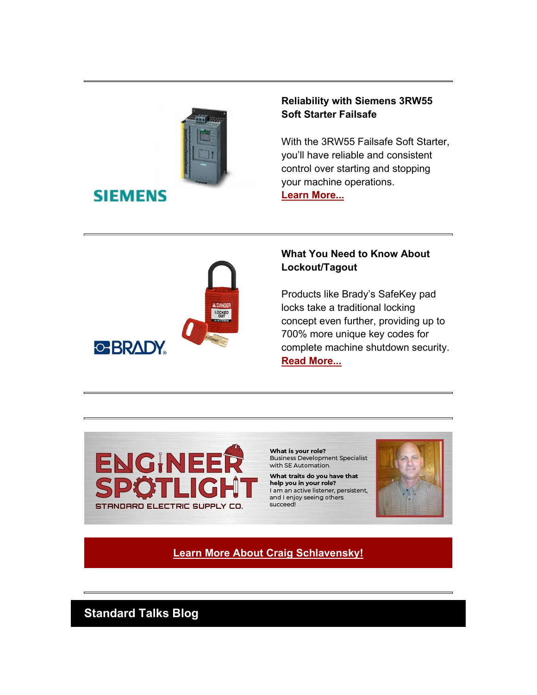

# **SIEMENS**

## **Reliability with Siemens 3RW55 Soft Starter Failsafe**

With the 3RW55 Failsafe Soft Starter, you'll have reliable and consistent control over starting and stopping your machine operations.

**[Learn More...](https://info.standardelectricsupply.com/e2t/tc/VW-30X5YB6DkN353JQRsdWLtW5q0Twr49zM74N91mn7c5nxG7V3Zsc37CgJHsW6qhzw95_fswhW5XP__z4WjjrwW93cF931dcpPGW3WHdDN3lmqqBW1mS04134H_ysW33MPpb81FnmrW9cwJPz82Ngb7W4NwH4Z6S6Yg-W2W0LZX5f59whW2pgv-R6FCf9MW56bMNY5wBNV6W91Jsdx52XBySVpKtsj3632_lW5xJz393Fz3rBW3HqX2s63HHV2W6Gx9pl7N9rk0W28gdr42CLZV1W7zzNqf2L7wy5W70Rvms4_lmDMW4jFky33Qm_PlW1pmHff4mFX5sW7vrntX93pGmvW2cwZ356F_rhMW4ZsCVf3LJxPRW4C8S9H2bdxtJW9kh7Z28ZvXNXW3MJbnk4r7SgxW52pLSP6vJBg6N6sbcLCyzCBvN6pLXJbJ-mTwW1MP7Dj3xx4MBW5NbMGR3P7PvZ37531)**



## **What You Need to Know About Lockout/Tagout**

Products like Brady's SafeKey pad locks take a traditional locking concept even further, providing up to 700% more unique key codes for complete machine shutdown security. **[Read More...](https://info.standardelectricsupply.com/e2t/tc/VW-30X5YB6DkN353JQRsdWLtW5q0Twr49zM74N91mn9h3p_b1V1-WJV7Cg_0pW6vhrlg8jcc_jW3zmH_k7sWTJ5W2x397B4glF4zW87_gfr7mBdQPW96LscG70w76lW2C5G_B1-jxqtN87WXjX73cLYW18WXst70tVPNW1WW2Zp1fB711VckVBz3RdVvYVk_xWw3XFDGQW7LRmw74ZFQT8W6ZfpNR399y1PW8JPnY_49ltHdN2FMnLQjc956W5QvT6Y8F0cQ-W2lwV-C1lr1J0W8LSD3J7CcZGDW1CnWGh7SZgj9W3dtgq85S3ymtW6qYLMR1_pHb2W4lHRVq7qgr5dN5vRmJgLWjXmVcNLgj3dddcJW6VfC8338YR68N8yCsPkwDNJcW777gL238xFCXW1K6Lch81NncKW3KHrkS8bVmT5W1j5yRB68zWxP3djN1)**



What is your role? **Business Development Specialist** with SE Automation.

What traits do you have that help you in your role? I am an active listener, persistent, and I enjoy seeing others succeed!



**[Learn More About Craig Schlavensky!](https://info.standardelectricsupply.com/e2t/tc/VW-30X5YB6DkN353JQRsdWLtW5q0Twr49zM74N91mn7c5nxG7V3Zsc37CgC20N3Zj9QQgsD9GW2mdQCq8jJTmKW6Mrtd01HmWHHW7dlwj550ddhTW8rwkWF6DrT4ZW5LC5Cq44v8lwW49SFw15d7Hn7W64QJ_b2HYYHJW2_S6Z47nMZ0hW51Wp7g7gZPzFW9fPKxf36KGFwW168Q467kq4wwW99dF643WN4wpW63DsQk2YRSVwM2MhNNltBTSN5xq_1T1rD28W29PQpW2X7NfhW4vCj107QHDYFW7Jp4R45YB-1KW2QK5Y75lHVlkW5HpGP88zMrgnVX1hjn3XPwyyW1mjQkt3z2cyHW7z-xKF5m-Y-lW7wp_bt72VvJPW8-5JhQ8L1lrZW8VDCRf3gQrwNW959X8C2lcbcjW4LWP0x4KrYJFW5z92Dt6Vd7TnW5vKrPm5XVGnyV1c00Q9b1fH138PH1)**

**Standard Talks Blog**